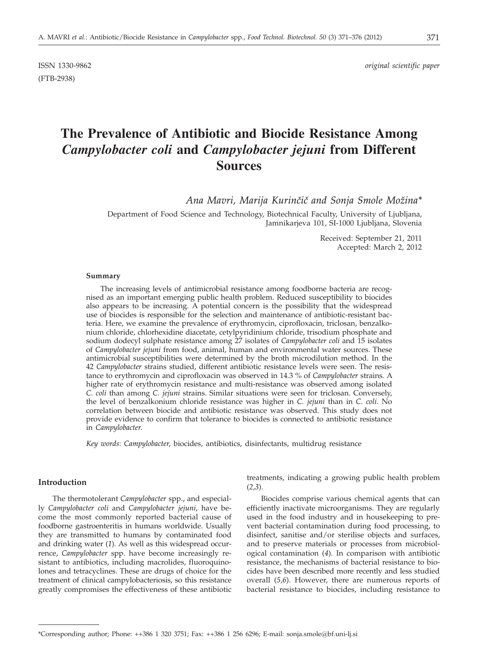(FTB-2938)

# **The Prevalence of Antibiotic and Biocide Resistance Among** *Campylobacter coli* **and** *Campylobacter jejuni* **from Different Sources**

*Ana Mavri, Marija Kurin~i~ and Sonja Smole Mo`ina\**

Department of Food Science and Technology, Biotechnical Faculty, University of Ljubljana, Jamnikarjeva 101, SI-1000 Ljubljana, Slovenia

> Received: September 21, 2011 Accepted: March 2, 2012

#### **Summary**

The increasing levels of antimicrobial resistance among foodborne bacteria are recognised as an important emerging public health problem. Reduced susceptibility to biocides also appears to be increasing. A potential concern is the possibility that the widespread use of biocides is responsible for the selection and maintenance of antibiotic-resistant bacteria. Here, we examine the prevalence of erythromycin, ciprofloxacin, triclosan, benzalkonium chloride, chlorhexidine diacetate, cetylpyridinium chloride, trisodium phosphate and sodium dodecyl sulphate resistance among 27 isolates of *Campylobacter coli* and 15 isolates of *Campylobacter jejuni* from food, animal, human and environmental water sources. These antimicrobial susceptibilities were determined by the broth microdilution method. In the 42 *Campylobacter* strains studied, different antibiotic resistance levels were seen. The resistance to erythromycin and ciprofloxacin was observed in 14.3 % of *Campylobacter* strains. A higher rate of erythromycin resistance and multi-resistance was observed among isolated *C. coli* than among *C. jejuni* strains. Similar situations were seen for triclosan. Conversely, the level of benzalkonium chloride resistance was higher in *C. jejuni* than in *C. coli*. No correlation between biocide and antibiotic resistance was observed. This study does not provide evidence to confirm that tolerance to biocides is connected to antibiotic resistance in *Campylobacter*.

*Key words*: *Campylobacter*, biocides, antibiotics, disinfectants, multidrug resistance

#### **Introduction**

The thermotolerant *Campylobacter* spp., and especially *Campylobacter coli* and *Campylobacter jejuni*, have become the most commonly reported bacterial cause of foodborne gastroenteritis in humans worldwide. Usually they are transmitted to humans by contaminated food and drinking water (*1*). As well as this widespread occurrence, *Campylobacter* spp. have become increasingly resistant to antibiotics, including macrolides, fluoroquinolones and tetracyclines. These are drugs of choice for the treatment of clinical campylobacteriosis, so this resistance greatly compromises the effectiveness of these antibiotic treatments, indicating a growing public health problem (*2*,*3*).

Biocides comprise various chemical agents that can efficiently inactivate microorganisms. They are regularly used in the food industry and in housekeeping to prevent bacterial contamination during food processing, to disinfect, sanitise and/or sterilise objects and surfaces, and to preserve materials or processes from microbiological contamination (*4*). In comparison with antibiotic resistance, the mechanisms of bacterial resistance to biocides have been described more recently and less studied overall (*5*,*6*). However, there are numerous reports of bacterial resistance to biocides, including resistance to

<sup>\*</sup>Corresponding author; Phone: ++386 1 320 3751; Fax: ++386 1 256 6296; E-mail: sonja.smole@bf.uni-lj.si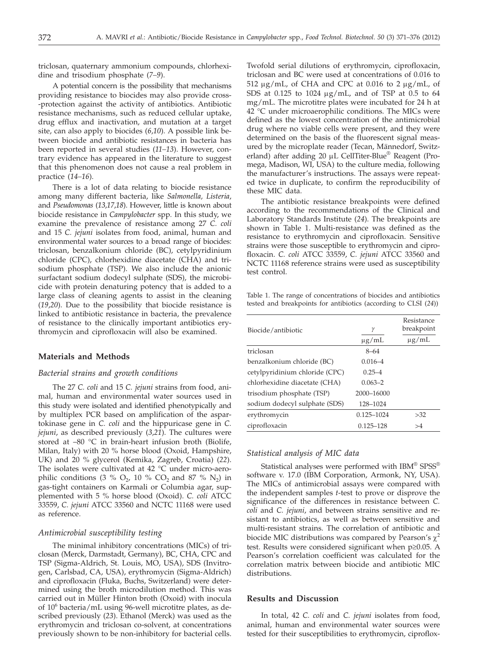triclosan, quaternary ammonium compounds, chlorhexidine and trisodium phosphate (*7–9*).

A potential concern is the possibility that mechanisms providing resistance to biocides may also provide cross- -protection against the activity of antibiotics. Antibiotic resistance mechanisms, such as reduced cellular uptake, drug efflux and inactivation, and mutation at a target site, can also apply to biocides (*6*,*10*). A possible link between biocide and antibiotic resistances in bacteria has been reported in several studies (*11–13*). However, contrary evidence has appeared in the literature to suggest that this phenomenon does not cause a real problem in practice (*14–16*).

There is a lot of data relating to biocide resistance among many different bacteria, like *Salmonella, Listeria*, and *Pseudomonas* (*13*,*17*,*18*). However, little is known about biocide resistance in *Campylobacter* spp*.* In this study, we examine the prevalence of resistance among 27 *C. coli* and 15 *C. jejuni* isolates from food, animal, human and environmental water sources to a broad range of biocides: triclosan, benzalkonium chloride (BC), cetylpyridinium chloride (CPC), chlorhexidine diacetate (CHA) and trisodium phosphate (TSP). We also include the anionic surfactant sodium dodecyl sulphate (SDS), the microbicide with protein denaturing potency that is added to a large class of cleaning agents to assist in the cleaning (*19*,*20*). Due to the possibility that biocide resistance is linked to antibiotic resistance in bacteria, the prevalence of resistance to the clinically important antibiotics erythromycin and ciprofloxacin will also be examined.

## **Materials and Methods**

#### *Bacterial strains and growth conditions*

The 27 *C. coli* and 15 *C. jejuni* strains from food, animal, human and environmental water sources used in this study were isolated and identified phenotypically and by multiplex PCR based on amplification of the aspartokinase gene in *C. coli* and the hippuricase gene in *C. jejuni*, as described previously (*3*,*21*). The cultures were stored at –80 °C in brain-heart infusion broth (Biolife, Milan, Italy) with 20 % horse blood (Oxoid, Hampshire, UK) and 20 % glycerol (Kemika, Zagreb, Croatia) (*22*). The isolates were cultivated at 42 °C under micro-aerophilic conditions (3 %  $O_2$ , 10 %  $CO_2$  and 87 % N<sub>2</sub>) in gas-tight containers on Karmali or Columbia agar, supplemented with 5 % horse blood (Oxoid). *C. coli* ATCC 33559, *C. jejuni* ATCC 33560 and NCTC 11168 were used as reference.

## *Antimicrobial susceptibility testing*

The minimal inhibitory concentrations (MICs) of triclosan (Merck, Darmstadt, Germany), BC, CHA, CPC and TSP (Sigma-Aldrich, St. Louis, MO, USA), SDS (Invitrogen, Carlsbad, CA, USA), erythromycin (Sigma-Aldrich) and ciprofloxacin (Fluka, Buchs, Switzerland) were determined using the broth microdilution method. This was carried out in Müller Hinton broth (Oxoid) with inocula of 10<sup>6</sup> bacteria/mL using 96-well microtitre plates, as described previously (*23*). Ethanol (Merck) was used as the erythromycin and triclosan co-solvent, at concentrations previously shown to be non-inhibitory for bacterial cells.

Twofold serial dilutions of erythromycin, ciprofloxacin, triclosan and BC were used at concentrations of 0.016 to 512  $\mu$ g/mL, of CHA and CPC at 0.016 to 2  $\mu$ g/mL, of SDS at 0.125 to 1024 µg/mL, and of TSP at 0.5 to 64 mg/mL. The microtitre plates were incubated for 24 h at 42 °C under microaerophilic conditions. The MICs were defined as the lowest concentration of the antimicrobial drug where no viable cells were present, and they were determined on the basis of the fluorescent signal measured by the microplate reader (Tecan, Männedorf, Switzerland) after adding 20 µL CellTiter-Blue® Reagent (Promega, Madison, WI, USA) to the culture media, following the manufacturer's instructions. The assays were repeated twice in duplicate, to confirm the reproducibility of these MIC data.

The antibiotic resistance breakpoints were defined according to the recommendations of the Clinical and Laboratory Standards Institute (*24*). The breakpoints are shown in Table 1. Multi-resistance was defined as the resistance to erythromycin and ciprofloxacin. Sensitive strains were those susceptible to erythromycin and ciprofloxacin. *C. coli* ATCC 33559, *C. jejuni* ATCC 33560 and NCTC 11168 reference strains were used as susceptibility test control.

Table 1. The range of concentrations of biocides and antibiotics tested and breakpoints for antibiotics (according to CLSI (*24*))

| Biocide/antibiotic             | γ              | Resistance<br>breakpoint |
|--------------------------------|----------------|--------------------------|
|                                | $\mu$ g/mL     | $\mu$ g/mL               |
| triclosan                      | $8 - 64$       |                          |
| benzalkonium chloride (BC)     | $0.016 - 4$    |                          |
| cetylpyridinium chloride (CPC) | $0.25 - 4$     |                          |
| chlorhexidine diacetate (CHA)  | $0.063 - 2$    |                          |
| trisodium phosphate (TSP)      | 2000-16000     |                          |
| sodium dodecyl sulphate (SDS)  | 128-1024       |                          |
| erythromycin                   | $0.125 - 1024$ | >32                      |
| ciprofloxacin                  | $0.125 - 128$  | >4                       |

#### *Statistical analysis of MIC data*

Statistical analyses were performed with IBM® SPSS® software v. 17.0 (IBM Corporation, Armonk, NY, USA). The MICs of antimicrobial assays were compared with the independent samples *t*-test to prove or disprove the significance of the differences in resistance between *C. coli* and *C. jejuni*, and between strains sensitive and resistant to antibiotics, as well as between sensitive and multi-resistant strains. The correlation of antibiotic and biocide MIC distributions was compared by Pearson's  $\chi^2$ test. Results were considered significant when  $p \geq 0.05$ . A Pearson's correlation coefficient was calculated for the correlation matrix between biocide and antibiotic MIC distributions.

## **Results and Discussion**

In total, 42 *C. coli* and *C. jejuni* isolates from food, animal, human and environmental water sources were tested for their susceptibilities to erythromycin, ciproflox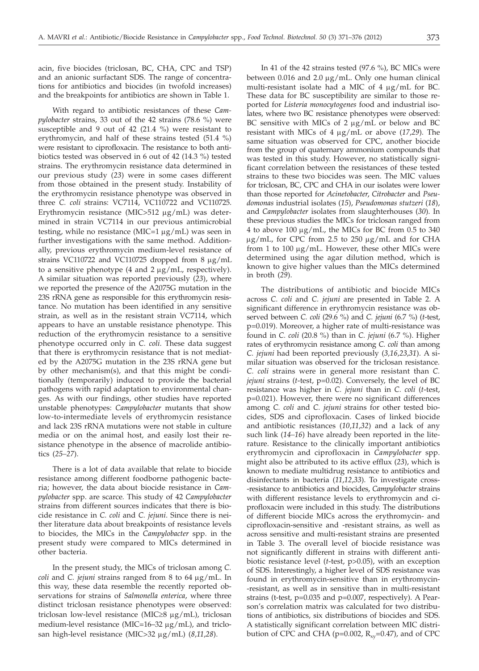acin, five biocides (triclosan, BC, CHA, CPC and TSP) and an anionic surfactant SDS. The range of concentrations for antibiotics and biocides (in twofold increases) and the breakpoints for antibiotics are shown in Table 1.

With regard to antibiotic resistances of these *Campylobacter* strains, 33 out of the 42 strains (78.6 %) were susceptible and 9 out of 42 (21.4 %) were resistant to erythromycin, and half of these strains tested (51.4 %) were resistant to ciprofloxacin. The resistance to both antibiotics tested was observed in 6 out of 42 (14.3 %) tested strains. The erythromycin resistance data determined in our previous study (*23*) were in some cases different from those obtained in the present study. Instability of the erythromycin resistance phenotype was observed in three *C. coli* strains: VC7114, VC110722 and VC110725. Erythromycin resistance (MIC>512  $\mu$ g/mL) was determined in strain VC7114 in our previous antimicrobial testing, while no resistance (MIC=1  $\mu$ g/mL) was seen in further investigations with the same method. Additionally, previous erythromycin medium-level resistance of strains VC110722 and VC110725 dropped from  $8 \mu g/mL$ to a sensitive phenotype (4 and 2  $\mu$ g/mL, respectively). A similar situation was reported previously (*23*), where we reported the presence of the A2075G mutation in the 23S rRNA gene as responsible for this erythromycin resistance. No mutation has been identified in any sensitive strain, as well as in the resistant strain VC7114, which appears to have an unstable resistance phenotype. This reduction of the erythromycin resistance to a sensitive phenotype occurred only in *C. coli*. These data suggest that there is erythromycin resistance that is not mediated by the A2075G mutation in the 23S rRNA gene but by other mechanism(s), and that this might be conditionally (temporarily) induced to provide the bacterial pathogens with rapid adaptation to environmental changes. As with our findings, other studies have reported unstable phenotypes: *Campylobacter* mutants that show low-to-intermediate levels of erythromycin resistance and lack 23S rRNA mutations were not stable in culture media or on the animal host, and easily lost their resistance phenotype in the absence of macrolide antibiotics (*25–27*).

There is a lot of data available that relate to biocide resistance among different foodborne pathogenic bacteria; however, the data about biocide resistance in *Campylobacter* spp. are scarce*.* This study of 42 *Campylobacter* strains from different sources indicates that there is biocide resistance in *C. coli* and *C. jejuni*. Since there is neither literature data about breakpoints of resistance levels to biocides, the MICs in the *Campylobacter* spp. in the present study were compared to MICs determined in other bacteria.

In the present study, the MICs of triclosan among *C. coli* and *C. jejuni* strains ranged from 8 to 64  $\mu$ g/mL. In this way, these data resemble the recently reported observations for strains of *Salmonella enterica*, where three distinct triclosan resistance phenotypes were observed: triclosan low-level resistance (MIC $\geq$ 8 µg/mL), triclosan medium-level resistance (MIC=16-32  $\mu$ g/mL), and triclosan high-level resistance (MIC>32 mg/mL) (*8*,*11*,*28*).

In 41 of the 42 strains tested (97.6 %), BC MICs were between 0.016 and 2.0  $\mu$ g/mL. Only one human clinical multi-resistant isolate had a MIC of 4 ug/mL for BC. These data for BC susceptibility are similar to those reported for *Listeria monocytogenes* food and industrial isolates, where two BC resistance phenotypes were observed: BC sensitive with MICs of  $2 \mu g/mL$  or below and BC resistant with MICs of 4 mg/mL or above (*17*,*29*). The same situation was observed for CPC, another biocide from the group of quaternary ammonium compounds that was tested in this study. However, no statistically significant correlation between the resistances of these tested strains to these two biocides was seen. The MIC values for triclosan, BC, CPC and CHA in our isolates were lower than those reported for *Acinetobacter*, *Citrobacter* and *Pseudomonas* industrial isolates (*15*), *Pseudomonas stutzeri* (*18*), and *Campylobacter* isolates from slaughterhouses (*30*). In these previous studies the MICs for triclosan ranged from 4 to above 100 mg/mL, the MICs for BC from 0.5 to 340  $\mu$ g/mL, for CPC from 2.5 to 250  $\mu$ g/mL and for CHA from 1 to 100  $\mu$ g/mL. However, these other MICs were determined using the agar dilution method, which is known to give higher values than the MICs determined in broth (*29*).

The distributions of antibiotic and biocide MICs across *C. coli* and *C. jejuni* are presented in Table 2. A significant difference in erythromycin resistance was observed between *C. coli* (29.6 %) and *C. jejuni* (6.7 %) (*t*-test, p=0.019). Moreover, a higher rate of multi-resistance was found in *C. coli* (20.8 %) than in *C. jejuni* (6.7 %). Higher rates of erythromycin resistance among *C. coli* than among *C. jejuni* had been reported previously (*3,16,23*,*31*). A similar situation was observed for the triclosan resistance. *C. coli* strains were in general more resistant than *C. jejuni* strains (*t*-test, p=0.02). Conversely, the level of BC resistance was higher in *C. jejuni* than in *C. coli* (*t*-test, p=0.021). However, there were no significant differences among *C. coli* and *C. jejuni* strains for other tested biocides, SDS and ciprofloxacin. Cases of linked biocide and antibiotic resistances (*10*,*11*,*32*) and a lack of any such link (*14–16*) have already been reported in the literature. Resistance to the clinically important antibiotics erythromycin and ciprofloxacin in *Campylobacter* spp. might also be attributed to its active efflux (*23*), which is known to mediate multidrug resistance to antibiotics and disinfectants in bacteria (*11*,*12*,*33*). To investigate cross- -resistance to antibiotics and biocides, *Campylobacter* strains with different resistance levels to erythromycin and ciprofloxacin were included in this study. The distributions of different biocide MICs across the erythromycin- and ciprofloxacin-sensitive and -resistant strains, as well as across sensitive and multi-resistant strains are presented in Table 3. The overall level of biocide resistance was not significantly different in strains with different antibiotic resistance level (*t*-test, p>0.05), with an exception of SDS. Interestingly, a higher level of SDS resistance was found in erythromycin-sensitive than in erythromycin- -resistant, as well as in sensitive than in multi-resistant strains (t-test, p=0.035 and p=0.007, respectively). A Pearson's correlation matrix was calculated for two distributions of antibiotics, six distributions of biocides and SDS. A statistically significant correlation between MIC distribution of CPC and CHA ( $p=0.002$ ,  $R_{xy}=0.47$ ), and of CPC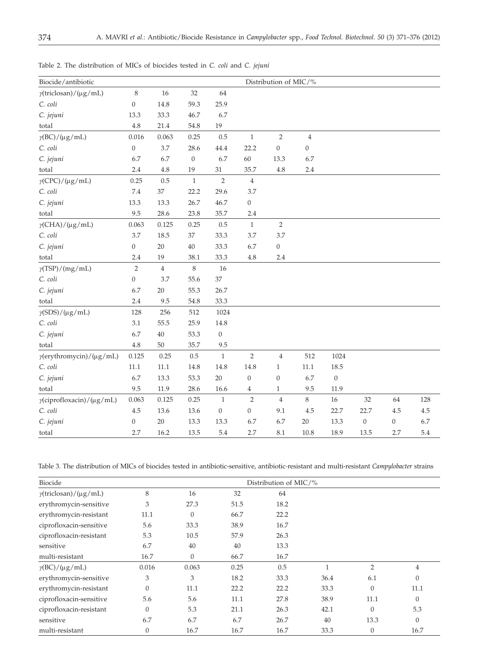| Biocide/antibiotic               |                  |                |                  |                  |                  | Distribution of MIC/% |                  |              |                  |                  |         |
|----------------------------------|------------------|----------------|------------------|------------------|------------------|-----------------------|------------------|--------------|------------------|------------------|---------|
| $\gamma$ (triclosan)/(µg/mL)     | $\,8\,$          | 16             | 32               | 64               |                  |                       |                  |              |                  |                  |         |
| C. coli                          | $\boldsymbol{0}$ | 14.8           | 59.3             | 25.9             |                  |                       |                  |              |                  |                  |         |
| C. jejuni                        | 13.3             | 33.3           | 46.7             | 6.7              |                  |                       |                  |              |                  |                  |         |
| total                            | $4.8\,$          | 21.4           | 54.8             | 19               |                  |                       |                  |              |                  |                  |         |
| $\gamma(BC)/(\mu g/mL)$          | 0.016            | 0.063          | 0.25             | $0.5\,$          | $\mathbf{1}$     | $\overline{2}$        | $\,4$            |              |                  |                  |         |
| C. coli                          | $\overline{0}$   | 3.7            | 28.6             | 44.4             | 22.2             | $\overline{0}$        | $\boldsymbol{0}$ |              |                  |                  |         |
| C. jejuni                        | 6.7              | 6.7            | $\boldsymbol{0}$ | 6.7              | 60               | 13.3                  | 6.7              |              |                  |                  |         |
| total                            | 2.4              | $4.8\,$        | 19               | 31               | 35.7             | $4.8\,$               | $2.4\,$          |              |                  |                  |         |
| $\gamma$ (CPC)/(µg/mL)           | 0.25             | 0.5            | $1\,$            | $\sqrt{2}$       | $\sqrt{4}$       |                       |                  |              |                  |                  |         |
| C. coli                          | $7.4\,$          | 37             | 22.2             | 29.6             | 3.7              |                       |                  |              |                  |                  |         |
| C. jejuni                        | 13.3             | 13.3           | 26.7             | 46.7             | $\boldsymbol{0}$ |                       |                  |              |                  |                  |         |
| total                            | 9.5              | 28.6           | 23.8             | 35.7             | 2.4              |                       |                  |              |                  |                  |         |
| $\gamma$ (CHA)/(µg/mL)           | 0.063            | 0.125          | 0.25             | $0.5\,$          | $\mathbf{1}$     | $\sqrt{2}$            |                  |              |                  |                  |         |
| C. coli                          | $3.7\,$          | 18.5           | 37               | 33.3             | 3.7              | 3.7                   |                  |              |                  |                  |         |
| C. jejuni                        | $\boldsymbol{0}$ | 20             | 40               | 33.3             | 6.7              | $\overline{0}$        |                  |              |                  |                  |         |
| total                            | 2.4              | 19             | 38.1             | 33.3             | 4.8              | 2.4                   |                  |              |                  |                  |         |
| $\gamma(TSP)/(mg/mL)$            | $\sqrt{2}$       | $\overline{4}$ | 8                | 16               |                  |                       |                  |              |                  |                  |         |
| C. coli                          | $\boldsymbol{0}$ | 3.7            | 55.6             | 37               |                  |                       |                  |              |                  |                  |         |
| C. jejuni                        | 6.7              | $20\,$         | 55.3             | 26.7             |                  |                       |                  |              |                  |                  |         |
| total                            | $2.4\,$          | 9.5            | 54.8             | 33.3             |                  |                       |                  |              |                  |                  |         |
| $\gamma$ (SDS)/(µg/mL)           | 128              | 256            | 512              | 1024             |                  |                       |                  |              |                  |                  |         |
| C. coli                          | 3.1              | 55.5           | 25.9             | 14.8             |                  |                       |                  |              |                  |                  |         |
| C. jejuni                        | 6.7              | 40             | 53.3             | $\boldsymbol{0}$ |                  |                       |                  |              |                  |                  |         |
| total                            | $4.8\,$          | 50             | 35.7             | 9.5              |                  |                       |                  |              |                  |                  |         |
| $\gamma$ (erythromycin)/(µg/mL)  | 0.125            | 0.25           | 0.5              | $\mathbf{1}$     | $\sqrt{2}$       | $\,4$                 | 512              | 1024         |                  |                  |         |
| C. coli                          | 11.1             | 11.1           | 14.8             | 14.8             | 14.8             | $\mathbf{1}$          | 11.1             | 18.5         |                  |                  |         |
| C. jejuni                        | 6.7              | 13.3           | 53.3             | 20               | $\boldsymbol{0}$ | $\overline{0}$        | 6.7              | $\mathbf{0}$ |                  |                  |         |
| total                            | 9.5              | 11.9           | 28.6             | 16.6             | 4                | $\mathbf{1}$          | 9.5              | 11.9         |                  |                  |         |
| $\gamma$ (ciprofloxacin)/(µg/mL) | 0.063            | 0.125          | 0.25             | $\mathbf{1}$     | $\overline{2}$   | $\overline{4}$        | $\,8\,$          | 16           | 32               | 64               | 128     |
| C. coli                          | $4.5\,$          | 13.6           | 13.6             | $\boldsymbol{0}$ | $\boldsymbol{0}$ | 9.1                   | 4.5              | 22.7         | 22.7             | $4.5\,$          | $4.5\,$ |
| C. jejuni                        | $\boldsymbol{0}$ | 20             | 13.3             | 13.3             | 6.7              | 6.7                   | $20\,$           | 13.3         | $\boldsymbol{0}$ | $\boldsymbol{0}$ | 6.7     |
| total                            | 2.7              | 16.2           | 13.5             | 5.4              | 2.7              | $8.1\,$               | 10.8             | 18.9         | 13.5             | 2.7              | 5.4     |

Table 2. The distribution of MICs of biocides tested in *C. coli* and *C. jejuni*

Table 3. The distribution of MICs of biocides tested in antibiotic-sensitive, antibiotic*-*resistant and multi-resistant *Campylobacter* strains

| Biocide                               | Distribution of $MIC/$ % |              |      |      |      |                |                |
|---------------------------------------|--------------------------|--------------|------|------|------|----------------|----------------|
| $\gamma(\text{triclosan})/(\mu g/mL)$ | 8                        | 16           | 32   | 64   |      |                |                |
| erythromycin-sensitive                | 3                        | 27.3         | 51.5 | 18.2 |      |                |                |
| erythromycin-resistant                | 11.1                     | $\mathbf{0}$ | 66.7 | 22.2 |      |                |                |
| ciprofloxacin-sensitive               | 5.6                      | 33.3         | 38.9 | 16.7 |      |                |                |
| ciprofloxacin-resistant               | 5.3                      | 10.5         | 57.9 | 26.3 |      |                |                |
| sensitive                             | 6.7                      | 40           | 40   | 13.3 |      |                |                |
| multi-resistant                       | 16.7                     | $\mathbf{0}$ | 66.7 | 16.7 |      |                |                |
| $\gamma(BC)/(\mu g/mL)$               | 0.016                    | 0.063        | 0.25 | 0.5  | 1    | $\overline{2}$ | $\overline{4}$ |
| erythromycin-sensitive                | 3                        | 3            | 18.2 | 33.3 | 36.4 | 6.1            | $\theta$       |
| erythromycin-resistant                | $\mathbf{0}$             | 11.1         | 22.2 | 22.2 | 33.3 | $\overline{0}$ | 11.1           |
| ciprofloxacin-sensitive               | 5.6                      | 5.6          | 11.1 | 27.8 | 38.9 | 11.1           | $\theta$       |
| ciprofloxacin-resistant               | $\mathbf{0}$             | 5.3          | 21.1 | 26.3 | 42.1 | $\overline{0}$ | 5.3            |
| sensitive                             | 6.7                      | 6.7          | 6.7  | 26.7 | 40   | 13.3           | $\theta$       |
| multi-resistant                       | $\boldsymbol{0}$         | 16.7         | 16.7 | 16.7 | 33.3 | $\overline{0}$ | 16.7           |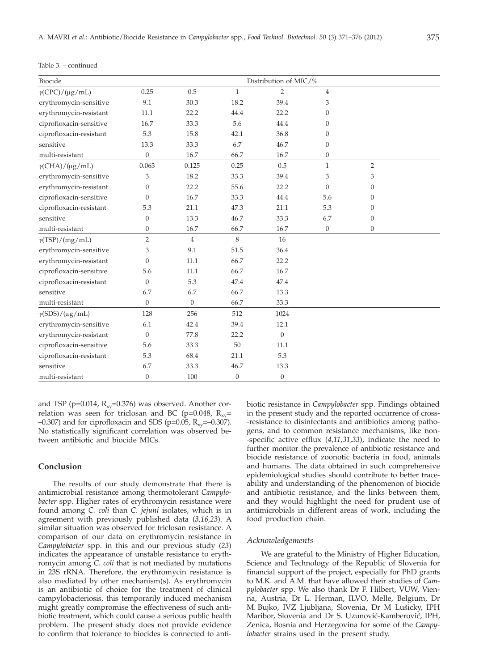| Biocide                 | Distribution of MIC/% |                |                  |                  |                  |                  |  |
|-------------------------|-----------------------|----------------|------------------|------------------|------------------|------------------|--|
| $\gamma$ (CPC)/(µg/mL)  | 0.25                  | 0.5            | $\mathbf{1}$     | $\overline{2}$   | $\overline{4}$   |                  |  |
| erythromycin-sensitive  | 9.1                   | 30.3           | 18.2             | 39.4             | 3                |                  |  |
| erythromycin-resistant  | 11.1                  | 22.2           | 44.4             | 22.2             | $\overline{0}$   |                  |  |
| ciprofloxacin-sensitive | 16.7                  | 33.3           | 5.6              | 44.4             | $\boldsymbol{0}$ |                  |  |
| ciprofloxacin-resistant | 5.3                   | 15.8           | 42.1             | 36.8             | $\theta$         |                  |  |
| sensitive               | 13.3                  | 33.3           | 6.7              | 46.7             | $\mathbf{0}$     |                  |  |
| multi-resistant         | $\overline{0}$        | 16.7           | 66.7             | 16.7             | $\overline{0}$   |                  |  |
| $\gamma$ (CHA)/(µg/mL)  | 0.063                 | 0.125          | 0.25             | 0.5              | $\mathbf{1}$     | $\overline{2}$   |  |
| erythromycin-sensitive  | 3                     | 18.2           | 33.3             | 39.4             | 3                | 3                |  |
| erythromycin-resistant  | $\theta$              | 22.2           | 55.6             | 22.2             | $\overline{0}$   | $\mathbf{0}$     |  |
| ciprofloxacin-sensitive | $\mathbf{0}$          | 16.7           | 33.3             | 44.4             | 5.6              | $\mathbf{0}$     |  |
| ciprofloxacin-resistant | 5.3                   | 21.1           | 47.3             | 21.1             | 5.3              | $\boldsymbol{0}$ |  |
| sensitive               | $\boldsymbol{0}$      | 13.3           | 46.7             | 33.3             | 6.7              | $\boldsymbol{0}$ |  |
| multi-resistant         | $\mathbf{0}$          | 16.7           | 66.7             | 16.7             | $\overline{0}$   | $\theta$         |  |
| $\gamma(TSP)/(mg/mL)$   | $\overline{2}$        | $\overline{4}$ | 8                | 16               |                  |                  |  |
| erythromycin-sensitive  | 3                     | 9.1            | 51.5             | 36.4             |                  |                  |  |
| erythromycin-resistant  | $\mathbf{0}$          | 11.1           | 66.7             | 22.2             |                  |                  |  |
| ciprofloxacin-sensitive | 5.6                   | 11.1           | 66.7             | 16.7             |                  |                  |  |
| ciprofloxacin-resistant | $\boldsymbol{0}$      | 5.3            | 47.4             | 47.4             |                  |                  |  |
| sensitive               | 6.7                   | 6.7            | 66.7             | 13.3             |                  |                  |  |
| multi-resistant         | $\mathbf{0}$          | $\Omega$       | 66.7             | 33.3             |                  |                  |  |
| $\gamma$ (SDS)/(µg/mL)  | 128                   | 256            | 512              | 1024             |                  |                  |  |
| erythromycin-sensitive  | 6.1                   | 42.4           | 39.4             | 12.1             |                  |                  |  |
| erythromycin-resistant  | $\boldsymbol{0}$      | 77.8           | 22.2             | $\boldsymbol{0}$ |                  |                  |  |
| ciprofloxacin-sensitive | 5.6                   | 33.3           | 50               | 11.1             |                  |                  |  |
| ciprofloxacin-resistant | 5.3                   | 68.4           | 21.1             | 5.3              |                  |                  |  |
| sensitive               | 6.7                   | 33.3           | 46.7             | 13.3             |                  |                  |  |
| multi-resistant         | $\boldsymbol{0}$      | 100            | $\boldsymbol{0}$ | $\boldsymbol{0}$ |                  |                  |  |

and TSP (p=0.014,  $R_{xy}$ =0.376) was observed. Another correlation was seen for triclosan and BC (p=0.048,  $R_{xy}$ =  $-0.307$ ) and for ciprofloxacin and SDS (p=0.05, R<sub>yy</sub>= $-0.307$ ). No statistically significant correlation was observed between antibiotic and biocide MICs.

### **Conclusion**

The results of our study demonstrate that there is antimicrobial resistance among thermotolerant *Campylobacter* spp. Higher rates of erythromycin resistance were found among *C. coli* than *C. jejuni* isolates*,* which is in agreement with previously published data (*3,16,23*). A similar situation was observed for triclosan resistance. A comparison of our data on erythromycin resistance in *Campylobacter* spp. in this and our previous study (*23*) indicates the appearance of unstable resistance to erythromycin among *C. coli* that is not mediated by mutations in 23S rRNA. Therefore, the erythromycin resistance is also mediated by other mechanism(s). As erythromycin is an antibiotic of choice for the treatment of clinical campylobacteriosis, this temporarily induced mechanism might greatly compromise the effectiveness of such antibiotic treatment, which could cause a serious public health problem. The present study does not provide evidence to confirm that tolerance to biocides is connected to antibiotic resistance in *Campylobacter* spp. Findings obtained in the present study and the reported occurrence of cross- -resistance to disinfectants and antibiotics among pathogens, and to common resistance mechanisms, like non- -specific active efflux (*4*,*11*,*31*,*33*), indicate the need to further monitor the prevalence of antibiotic resistance and biocide resistance of zoonotic bacteria in food, animals and humans. The data obtained in such comprehensive epidemiological studies should contribute to better traceability and understanding of the phenomenon of biocide and antibiotic resistance, and the links between them, and they would highlight the need for prudent use of antimicrobials in different areas of work, including the food production chain.

#### *Acknowledgements*

We are grateful to the Ministry of Higher Education, Science and Technology of the Republic of Slovenia for financial support of the project, especially for PhD grants to M.K. and A.M. that have allowed their studies of *Campylobacter* spp. We also thank Dr F. Hilbert, VUW, Vienna, Austria, Dr L. Herman, ILVO, Melle, Belgium, Dr M. Bujko, IVZ Ljubljana, Slovenia, Dr M Lušicky, IPH Maribor, Slovenia and Dr S. Uzunović-Kamberović, IPH, Zenica, Bosnia and Herzegovina for some of the *Campylobacter* strains used in the present study.